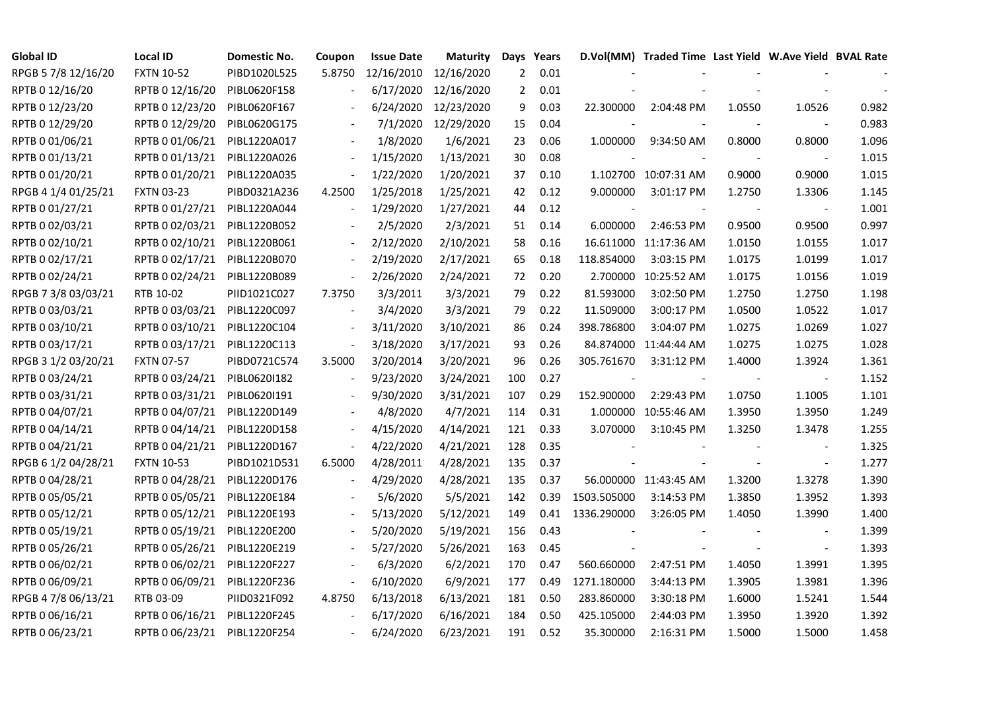| <b>Global ID</b>    | <b>Local ID</b>   | Domestic No. | Coupon                   | <b>Issue Date</b> | <b>Maturity</b>      | Days Years     |      |             | D.Vol(MM) Traded Time Last Yield W.Ave Yield BVAL Rate |        |                          |       |
|---------------------|-------------------|--------------|--------------------------|-------------------|----------------------|----------------|------|-------------|--------------------------------------------------------|--------|--------------------------|-------|
| RPGB 5 7/8 12/16/20 | <b>FXTN 10-52</b> | PIBD1020L525 | 5.8750                   | 12/16/2010        | 12/16/2020           | 2              | 0.01 |             |                                                        |        |                          |       |
| RPTB 0 12/16/20     | RPTB 0 12/16/20   | PIBL0620F158 |                          | 6/17/2020         | 12/16/2020           | $\overline{2}$ | 0.01 |             |                                                        |        |                          |       |
| RPTB 0 12/23/20     | RPTB 0 12/23/20   | PIBL0620F167 |                          |                   | 6/24/2020 12/23/2020 | 9              | 0.03 | 22.300000   | 2:04:48 PM                                             | 1.0550 | 1.0526                   | 0.982 |
| RPTB 0 12/29/20     | RPTB 0 12/29/20   | PIBL0620G175 |                          |                   | 7/1/2020 12/29/2020  | 15             | 0.04 |             |                                                        |        |                          | 0.983 |
| RPTB 0 01/06/21     | RPTB 0 01/06/21   | PIBL1220A017 |                          | 1/8/2020          | 1/6/2021             | 23             | 0.06 | 1.000000    | 9:34:50 AM                                             | 0.8000 | 0.8000                   | 1.096 |
| RPTB 0 01/13/21     | RPTB 0 01/13/21   | PIBL1220A026 |                          | 1/15/2020         | 1/13/2021            | 30             | 0.08 |             |                                                        |        |                          | 1.015 |
| RPTB 0 01/20/21     | RPTB 0 01/20/21   | PIBL1220A035 | $\overline{\phantom{a}}$ | 1/22/2020         | 1/20/2021            | 37             | 0.10 |             | 1.102700 10:07:31 AM                                   | 0.9000 | 0.9000                   | 1.015 |
| RPGB 4 1/4 01/25/21 | <b>FXTN 03-23</b> | PIBD0321A236 | 4.2500                   | 1/25/2018         | 1/25/2021            | 42             | 0.12 | 9.000000    | 3:01:17 PM                                             | 1.2750 | 1.3306                   | 1.145 |
| RPTB 0 01/27/21     | RPTB 0 01/27/21   | PIBL1220A044 |                          | 1/29/2020         | 1/27/2021            | 44             | 0.12 |             |                                                        |        |                          | 1.001 |
| RPTB 0 02/03/21     | RPTB 0 02/03/21   | PIBL1220B052 |                          | 2/5/2020          | 2/3/2021             | 51             | 0.14 | 6.000000    | 2:46:53 PM                                             | 0.9500 | 0.9500                   | 0.997 |
| RPTB 0 02/10/21     | RPTB 0 02/10/21   | PIBL1220B061 | $\overline{\phantom{a}}$ | 2/12/2020         | 2/10/2021            | 58             | 0.16 |             | 16.611000 11:17:36 AM                                  | 1.0150 | 1.0155                   | 1.017 |
| RPTB 0 02/17/21     | RPTB 0 02/17/21   | PIBL1220B070 | $\overline{\phantom{a}}$ | 2/19/2020         | 2/17/2021            | 65             | 0.18 | 118.854000  | 3:03:15 PM                                             | 1.0175 | 1.0199                   | 1.017 |
| RPTB 0 02/24/21     | RPTB 0 02/24/21   | PIBL1220B089 | $\blacksquare$           | 2/26/2020         | 2/24/2021            | 72             | 0.20 | 2.700000    | 10:25:52 AM                                            | 1.0175 | 1.0156                   | 1.019 |
| RPGB 7 3/8 03/03/21 | RTB 10-02         | PIID1021C027 | 7.3750                   | 3/3/2011          | 3/3/2021             | 79             | 0.22 | 81.593000   | 3:02:50 PM                                             | 1.2750 | 1.2750                   | 1.198 |
| RPTB 0 03/03/21     | RPTB 0 03/03/21   | PIBL1220C097 | $\overline{\phantom{a}}$ | 3/4/2020          | 3/3/2021             | 79             | 0.22 | 11.509000   | 3:00:17 PM                                             | 1.0500 | 1.0522                   | 1.017 |
| RPTB 0 03/10/21     | RPTB 0 03/10/21   | PIBL1220C104 |                          | 3/11/2020         | 3/10/2021            | 86             | 0.24 | 398.786800  | 3:04:07 PM                                             | 1.0275 | 1.0269                   | 1.027 |
| RPTB 0 03/17/21     | RPTB 0 03/17/21   | PIBL1220C113 | $\overline{\phantom{a}}$ | 3/18/2020         | 3/17/2021            | 93             | 0.26 |             | 84.874000 11:44:44 AM                                  | 1.0275 | 1.0275                   | 1.028 |
| RPGB 3 1/2 03/20/21 | <b>FXTN 07-57</b> | PIBD0721C574 | 3.5000                   | 3/20/2014         | 3/20/2021            | 96             | 0.26 | 305.761670  | $3:31:12$ PM                                           | 1.4000 | 1.3924                   | 1.361 |
| RPTB 0 03/24/21     | RPTB 0 03/24/21   | PIBL0620I182 | $\overline{\phantom{a}}$ | 9/23/2020         | 3/24/2021            | 100            | 0.27 |             |                                                        |        | $\overline{\phantom{a}}$ | 1.152 |
| RPTB 0 03/31/21     | RPTB 0 03/31/21   | PIBL0620I191 |                          | 9/30/2020         | 3/31/2021            | 107            | 0.29 | 152.900000  | 2:29:43 PM                                             | 1.0750 | 1.1005                   | 1.101 |
| RPTB 0 04/07/21     | RPTB 0 04/07/21   | PIBL1220D149 |                          | 4/8/2020          | 4/7/2021             | 114            | 0.31 |             | 1.000000 10:55:46 AM                                   | 1.3950 | 1.3950                   | 1.249 |
| RPTB 0 04/14/21     | RPTB 0 04/14/21   | PIBL1220D158 |                          | 4/15/2020         | 4/14/2021            | 121            | 0.33 | 3.070000    | 3:10:45 PM                                             | 1.3250 | 1.3478                   | 1.255 |
| RPTB 0 04/21/21     | RPTB 0 04/21/21   | PIBL1220D167 |                          | 4/22/2020         | 4/21/2021            | 128            | 0.35 |             |                                                        |        |                          | 1.325 |
| RPGB 6 1/2 04/28/21 | <b>FXTN 10-53</b> | PIBD1021D531 | 6.5000                   | 4/28/2011         | 4/28/2021            | 135            | 0.37 |             |                                                        |        | $\blacksquare$           | 1.277 |
| RPTB 0 04/28/21     | RPTB 0 04/28/21   | PIBL1220D176 | $\overline{\phantom{a}}$ | 4/29/2020         | 4/28/2021            | 135            | 0.37 |             | 56.000000 11:43:45 AM                                  | 1.3200 | 1.3278                   | 1.390 |
| RPTB 0 05/05/21     | RPTB 0 05/05/21   | PIBL1220E184 |                          | 5/6/2020          | 5/5/2021             | 142            | 0.39 | 1503.505000 | 3:14:53 PM                                             | 1.3850 | 1.3952                   | 1.393 |
| RPTB 0 05/12/21     | RPTB 0 05/12/21   | PIBL1220E193 |                          | 5/13/2020         | 5/12/2021            | 149            | 0.41 | 1336.290000 | 3:26:05 PM                                             | 1.4050 | 1.3990                   | 1.400 |
| RPTB 0 05/19/21     | RPTB 0 05/19/21   | PIBL1220E200 |                          | 5/20/2020         | 5/19/2021            | 156            | 0.43 |             |                                                        |        | $\overline{\phantom{a}}$ | 1.399 |
| RPTB 0 05/26/21     | RPTB 0 05/26/21   | PIBL1220E219 |                          | 5/27/2020         | 5/26/2021            | 163            | 0.45 |             |                                                        |        | $\overline{\phantom{a}}$ | 1.393 |
| RPTB 0 06/02/21     | RPTB 0 06/02/21   | PIBL1220F227 |                          | 6/3/2020          | 6/2/2021             | 170            | 0.47 | 560.660000  | 2:47:51 PM                                             | 1.4050 | 1.3991                   | 1.395 |
| RPTB 0 06/09/21     | RPTB 0 06/09/21   | PIBL1220F236 | $\overline{\phantom{a}}$ | 6/10/2020         | 6/9/2021             | 177            | 0.49 | 1271.180000 | 3:44:13 PM                                             | 1.3905 | 1.3981                   | 1.396 |
| RPGB 4 7/8 06/13/21 | RTB 03-09         | PIID0321F092 | 4.8750                   | 6/13/2018         | 6/13/2021            | 181            | 0.50 | 283.860000  | 3:30:18 PM                                             | 1.6000 | 1.5241                   | 1.544 |
| RPTB 0 06/16/21     | RPTB 0 06/16/21   | PIBL1220F245 | $\blacksquare$           | 6/17/2020         | 6/16/2021            | 184            | 0.50 | 425.105000  | 2:44:03 PM                                             | 1.3950 | 1.3920                   | 1.392 |
| RPTB 0 06/23/21     | RPTB 0 06/23/21   | PIBL1220F254 |                          | 6/24/2020         | 6/23/2021            | 191            | 0.52 | 35.300000   | 2:16:31 PM                                             | 1.5000 | 1.5000                   | 1.458 |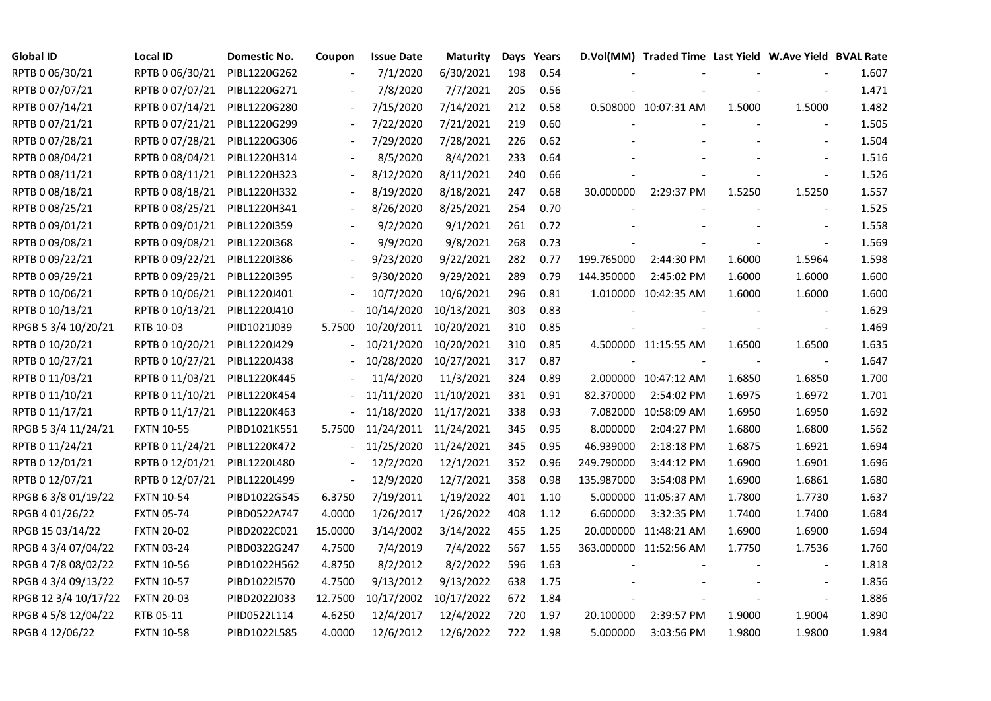| <b>Global ID</b>     | <b>Local ID</b>   | Domestic No. | Coupon                   | <b>Issue Date</b> | <b>Maturity</b> |     | Days Years |            | D.Vol(MM) Traded Time Last Yield W.Ave Yield BVAL Rate |        |                          |       |
|----------------------|-------------------|--------------|--------------------------|-------------------|-----------------|-----|------------|------------|--------------------------------------------------------|--------|--------------------------|-------|
| RPTB 0 06/30/21      | RPTB 0 06/30/21   | PIBL1220G262 |                          | 7/1/2020          | 6/30/2021       | 198 | 0.54       |            |                                                        |        |                          | 1.607 |
| RPTB 0 07/07/21      | RPTB 0 07/07/21   | PIBL1220G271 |                          | 7/8/2020          | 7/7/2021        | 205 | 0.56       |            |                                                        |        |                          | 1.471 |
| RPTB 0 07/14/21      | RPTB 0 07/14/21   | PIBL1220G280 |                          | 7/15/2020         | 7/14/2021       | 212 | 0.58       |            | 0.508000 10:07:31 AM                                   | 1.5000 | 1.5000                   | 1.482 |
| RPTB 0 07/21/21      | RPTB 0 07/21/21   | PIBL1220G299 | $\blacksquare$           | 7/22/2020         | 7/21/2021       | 219 | 0.60       |            |                                                        |        | $\blacksquare$           | 1.505 |
| RPTB 0 07/28/21      | RPTB 0 07/28/21   | PIBL1220G306 | $\overline{\phantom{a}}$ | 7/29/2020         | 7/28/2021       | 226 | 0.62       |            |                                                        |        | $\blacksquare$           | 1.504 |
| RPTB 0 08/04/21      | RPTB 0 08/04/21   | PIBL1220H314 |                          | 8/5/2020          | 8/4/2021        | 233 | 0.64       |            |                                                        |        |                          | 1.516 |
| RPTB 0 08/11/21      | RPTB 0 08/11/21   | PIBL1220H323 |                          | 8/12/2020         | 8/11/2021       | 240 | 0.66       |            |                                                        |        | $\blacksquare$           | 1.526 |
| RPTB 0 08/18/21      | RPTB 0 08/18/21   | PIBL1220H332 |                          | 8/19/2020         | 8/18/2021       | 247 | 0.68       | 30.000000  | 2:29:37 PM                                             | 1.5250 | 1.5250                   | 1.557 |
| RPTB 0 08/25/21      | RPTB 0 08/25/21   | PIBL1220H341 |                          | 8/26/2020         | 8/25/2021       | 254 | 0.70       |            |                                                        |        |                          | 1.525 |
| RPTB 0 09/01/21      | RPTB 0 09/01/21   | PIBL1220I359 |                          | 9/2/2020          | 9/1/2021        | 261 | 0.72       |            |                                                        |        |                          | 1.558 |
| RPTB 0 09/08/21      | RPTB 0 09/08/21   | PIBL1220I368 | $\overline{\phantom{a}}$ | 9/9/2020          | 9/8/2021        | 268 | 0.73       |            |                                                        |        |                          | 1.569 |
| RPTB 0 09/22/21      | RPTB 0 09/22/21   | PIBL1220I386 | $\overline{\phantom{a}}$ | 9/23/2020         | 9/22/2021       | 282 | 0.77       | 199.765000 | 2:44:30 PM                                             | 1.6000 | 1.5964                   | 1.598 |
| RPTB 0 09/29/21      | RPTB 0 09/29/21   | PIBL1220I395 |                          | 9/30/2020         | 9/29/2021       | 289 | 0.79       | 144.350000 | 2:45:02 PM                                             | 1.6000 | 1.6000                   | 1.600 |
| RPTB 0 10/06/21      | RPTB 0 10/06/21   | PIBL1220J401 |                          | 10/7/2020         | 10/6/2021       | 296 | 0.81       |            | 1.010000 10:42:35 AM                                   | 1.6000 | 1.6000                   | 1.600 |
| RPTB 0 10/13/21      | RPTB 0 10/13/21   | PIBL1220J410 |                          | 10/14/2020        | 10/13/2021      | 303 | 0.83       |            |                                                        |        |                          | 1.629 |
| RPGB 5 3/4 10/20/21  | RTB 10-03         | PIID1021J039 | 5.7500                   | 10/20/2011        | 10/20/2021      | 310 | 0.85       |            |                                                        |        |                          | 1.469 |
| RPTB 0 10/20/21      | RPTB 0 10/20/21   | PIBL1220J429 |                          | 10/21/2020        | 10/20/2021      | 310 | 0.85       |            | 4.500000 11:15:55 AM                                   | 1.6500 | 1.6500                   | 1.635 |
| RPTB 0 10/27/21      | RPTB 0 10/27/21   | PIBL1220J438 |                          | 10/28/2020        | 10/27/2021      | 317 | 0.87       |            |                                                        |        | $\blacksquare$           | 1.647 |
| RPTB 0 11/03/21      | RPTB 0 11/03/21   | PIBL1220K445 |                          | 11/4/2020         | 11/3/2021       | 324 | 0.89       |            | 2.000000 10:47:12 AM                                   | 1.6850 | 1.6850                   | 1.700 |
| RPTB 0 11/10/21      | RPTB 0 11/10/21   | PIBL1220K454 |                          | 11/11/2020        | 11/10/2021      | 331 | 0.91       | 82.370000  | 2:54:02 PM                                             | 1.6975 | 1.6972                   | 1.701 |
| RPTB 0 11/17/21      | RPTB 0 11/17/21   | PIBL1220K463 |                          | 11/18/2020        | 11/17/2021      | 338 | 0.93       | 7.082000   | 10:58:09 AM                                            | 1.6950 | 1.6950                   | 1.692 |
| RPGB 5 3/4 11/24/21  | <b>FXTN 10-55</b> | PIBD1021K551 | 5.7500                   | 11/24/2011        | 11/24/2021      | 345 | 0.95       | 8.000000   | 2:04:27 PM                                             | 1.6800 | 1.6800                   | 1.562 |
| RPTB 0 11/24/21      | RPTB 0 11/24/21   | PIBL1220K472 |                          | 11/25/2020        | 11/24/2021      | 345 | 0.95       | 46.939000  | 2:18:18 PM                                             | 1.6875 | 1.6921                   | 1.694 |
| RPTB 0 12/01/21      | RPTB 0 12/01/21   | PIBL1220L480 |                          | 12/2/2020         | 12/1/2021       | 352 | 0.96       | 249.790000 | 3:44:12 PM                                             | 1.6900 | 1.6901                   | 1.696 |
| RPTB 0 12/07/21      | RPTB 0 12/07/21   | PIBL1220L499 | $\overline{\phantom{a}}$ | 12/9/2020         | 12/7/2021       | 358 | 0.98       | 135.987000 | 3:54:08 PM                                             | 1.6900 | 1.6861                   | 1.680 |
| RPGB 63/8 01/19/22   | <b>FXTN 10-54</b> | PIBD1022G545 | 6.3750                   | 7/19/2011         | 1/19/2022       | 401 | 1.10       |            | 5.000000 11:05:37 AM                                   | 1.7800 | 1.7730                   | 1.637 |
| RPGB 4 01/26/22      | <b>FXTN 05-74</b> | PIBD0522A747 | 4.0000                   | 1/26/2017         | 1/26/2022       | 408 | 1.12       | 6.600000   | 3:32:35 PM                                             | 1.7400 | 1.7400                   | 1.684 |
| RPGB 15 03/14/22     | <b>FXTN 20-02</b> | PIBD2022C021 | 15.0000                  | 3/14/2002         | 3/14/2022       | 455 | 1.25       |            | 20.000000 11:48:21 AM                                  | 1.6900 | 1.6900                   | 1.694 |
| RPGB 4 3/4 07/04/22  | <b>FXTN 03-24</b> | PIBD0322G247 | 4.7500                   | 7/4/2019          | 7/4/2022        | 567 | 1.55       |            | 363.000000 11:52:56 AM                                 | 1.7750 | 1.7536                   | 1.760 |
| RPGB 4 7/8 08/02/22  | <b>FXTN 10-56</b> | PIBD1022H562 | 4.8750                   | 8/2/2012          | 8/2/2022        | 596 | 1.63       |            |                                                        |        |                          | 1.818 |
| RPGB 4 3/4 09/13/22  | <b>FXTN 10-57</b> | PIBD1022I570 | 4.7500                   | 9/13/2012         | 9/13/2022       | 638 | 1.75       |            |                                                        |        |                          | 1.856 |
| RPGB 12 3/4 10/17/22 | <b>FXTN 20-03</b> | PIBD2022J033 | 12.7500                  | 10/17/2002        | 10/17/2022      | 672 | 1.84       |            |                                                        |        | $\overline{\phantom{a}}$ | 1.886 |
| RPGB 4 5/8 12/04/22  | RTB 05-11         | PIID0522L114 | 4.6250                   | 12/4/2017         | 12/4/2022       | 720 | 1.97       | 20.100000  | 2:39:57 PM                                             | 1.9000 | 1.9004                   | 1.890 |
| RPGB 4 12/06/22      | <b>FXTN 10-58</b> | PIBD1022L585 | 4.0000                   | 12/6/2012         | 12/6/2022       | 722 | 1.98       | 5.000000   | 3:03:56 PM                                             | 1.9800 | 1.9800                   | 1.984 |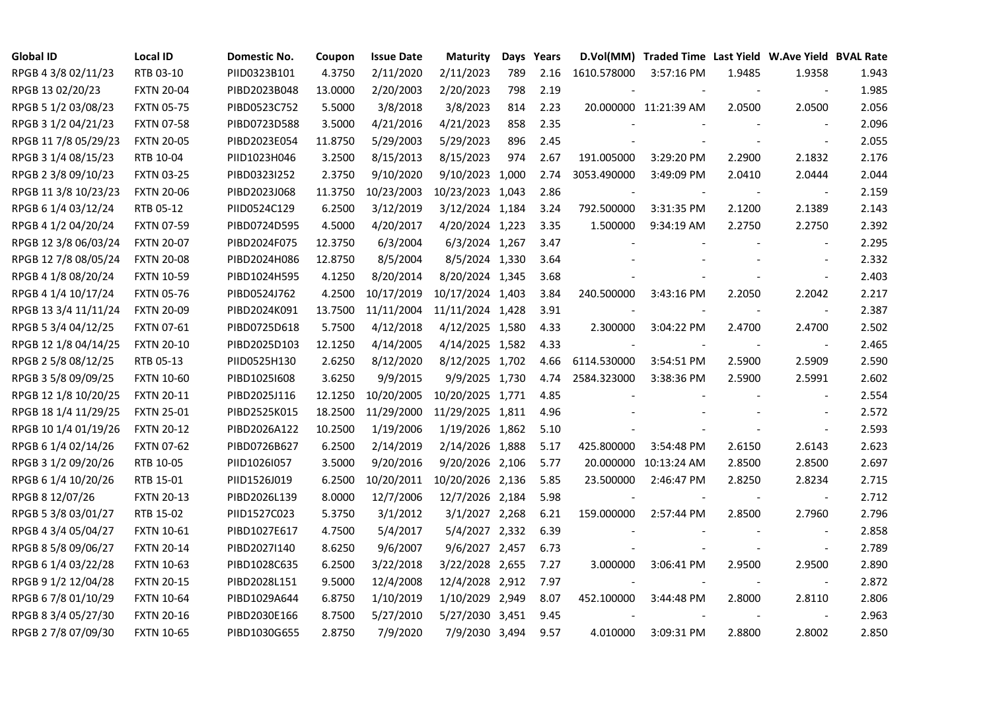| <b>Global ID</b>     | <b>Local ID</b>   | Domestic No. | Coupon  | <b>Issue Date</b> | <b>Maturity</b>  |     | Days Years |             | D.Vol(MM) Traded Time Last Yield W.Ave Yield BVAL Rate |        |                          |       |
|----------------------|-------------------|--------------|---------|-------------------|------------------|-----|------------|-------------|--------------------------------------------------------|--------|--------------------------|-------|
| RPGB 4 3/8 02/11/23  | RTB 03-10         | PIID0323B101 | 4.3750  | 2/11/2020         | 2/11/2023        | 789 | 2.16       | 1610.578000 | 3:57:16 PM                                             | 1.9485 | 1.9358                   | 1.943 |
| RPGB 13 02/20/23     | <b>FXTN 20-04</b> | PIBD2023B048 | 13.0000 | 2/20/2003         | 2/20/2023        | 798 | 2.19       |             |                                                        |        | $\sim$                   | 1.985 |
| RPGB 5 1/2 03/08/23  | <b>FXTN 05-75</b> | PIBD0523C752 | 5.5000  | 3/8/2018          | 3/8/2023         | 814 | 2.23       |             | 20.000000 11:21:39 AM                                  | 2.0500 | 2.0500                   | 2.056 |
| RPGB 3 1/2 04/21/23  | <b>FXTN 07-58</b> | PIBD0723D588 | 3.5000  | 4/21/2016         | 4/21/2023        | 858 | 2.35       |             |                                                        |        | $\sim$                   | 2.096 |
| RPGB 11 7/8 05/29/23 | <b>FXTN 20-05</b> | PIBD2023E054 | 11.8750 | 5/29/2003         | 5/29/2023        | 896 | 2.45       |             |                                                        |        | $\overline{\phantom{a}}$ | 2.055 |
| RPGB 3 1/4 08/15/23  | RTB 10-04         | PIID1023H046 | 3.2500  | 8/15/2013         | 8/15/2023        | 974 | 2.67       | 191.005000  | 3:29:20 PM                                             | 2.2900 | 2.1832                   | 2.176 |
| RPGB 2 3/8 09/10/23  | <b>FXTN 03-25</b> | PIBD0323I252 | 2.3750  | 9/10/2020         | 9/10/2023 1,000  |     | 2.74       | 3053.490000 | 3:49:09 PM                                             | 2.0410 | 2.0444                   | 2.044 |
| RPGB 11 3/8 10/23/23 | <b>FXTN 20-06</b> | PIBD2023J068 | 11.3750 | 10/23/2003        | 10/23/2023 1,043 |     | 2.86       |             |                                                        |        | $\overline{\phantom{a}}$ | 2.159 |
| RPGB 6 1/4 03/12/24  | RTB 05-12         | PIID0524C129 | 6.2500  | 3/12/2019         | 3/12/2024 1,184  |     | 3.24       | 792.500000  | 3:31:35 PM                                             | 2.1200 | 2.1389                   | 2.143 |
| RPGB 4 1/2 04/20/24  | <b>FXTN 07-59</b> | PIBD0724D595 | 4.5000  | 4/20/2017         | 4/20/2024 1,223  |     | 3.35       | 1.500000    | 9:34:19 AM                                             | 2.2750 | 2.2750                   | 2.392 |
| RPGB 12 3/8 06/03/24 | <b>FXTN 20-07</b> | PIBD2024F075 | 12.3750 | 6/3/2004          | 6/3/2024 1,267   |     | 3.47       |             |                                                        |        | $\blacksquare$           | 2.295 |
| RPGB 12 7/8 08/05/24 | <b>FXTN 20-08</b> | PIBD2024H086 | 12.8750 | 8/5/2004          | 8/5/2024 1,330   |     | 3.64       |             |                                                        |        |                          | 2.332 |
| RPGB 4 1/8 08/20/24  | <b>FXTN 10-59</b> | PIBD1024H595 | 4.1250  | 8/20/2014         | 8/20/2024 1,345  |     | 3.68       |             |                                                        |        | $\blacksquare$           | 2.403 |
| RPGB 4 1/4 10/17/24  | <b>FXTN 05-76</b> | PIBD0524J762 | 4.2500  | 10/17/2019        | 10/17/2024 1,403 |     | 3.84       | 240.500000  | 3:43:16 PM                                             | 2.2050 | 2.2042                   | 2.217 |
| RPGB 13 3/4 11/11/24 | <b>FXTN 20-09</b> | PIBD2024K091 | 13.7500 | 11/11/2004        | 11/11/2024 1,428 |     | 3.91       |             |                                                        |        | $\blacksquare$           | 2.387 |
| RPGB 5 3/4 04/12/25  | FXTN 07-61        | PIBD0725D618 | 5.7500  | 4/12/2018         | 4/12/2025 1,580  |     | 4.33       | 2.300000    | 3:04:22 PM                                             | 2.4700 | 2.4700                   | 2.502 |
| RPGB 12 1/8 04/14/25 | <b>FXTN 20-10</b> | PIBD2025D103 | 12.1250 | 4/14/2005         | 4/14/2025 1,582  |     | 4.33       |             |                                                        |        | $\overline{\phantom{a}}$ | 2.465 |
| RPGB 2 5/8 08/12/25  | RTB 05-13         | PIID0525H130 | 2.6250  | 8/12/2020         | 8/12/2025 1,702  |     | 4.66       | 6114.530000 | 3:54:51 PM                                             | 2.5900 | 2.5909                   | 2.590 |
| RPGB 3 5/8 09/09/25  | <b>FXTN 10-60</b> | PIBD10251608 | 3.6250  | 9/9/2015          | 9/9/2025 1,730   |     | 4.74       | 2584.323000 | 3:38:36 PM                                             | 2.5900 | 2.5991                   | 2.602 |
| RPGB 12 1/8 10/20/25 | <b>FXTN 20-11</b> | PIBD2025J116 | 12.1250 | 10/20/2005        | 10/20/2025 1,771 |     | 4.85       |             |                                                        |        | $\overline{\phantom{a}}$ | 2.554 |
| RPGB 18 1/4 11/29/25 | <b>FXTN 25-01</b> | PIBD2525K015 | 18.2500 | 11/29/2000        | 11/29/2025 1,811 |     | 4.96       |             |                                                        |        | $\overline{\phantom{a}}$ | 2.572 |
| RPGB 10 1/4 01/19/26 | <b>FXTN 20-12</b> | PIBD2026A122 | 10.2500 | 1/19/2006         | 1/19/2026 1,862  |     | 5.10       |             |                                                        |        | $\blacksquare$           | 2.593 |
| RPGB 6 1/4 02/14/26  | <b>FXTN 07-62</b> | PIBD0726B627 | 6.2500  | 2/14/2019         | 2/14/2026 1,888  |     | 5.17       | 425.800000  | 3:54:48 PM                                             | 2.6150 | 2.6143                   | 2.623 |
| RPGB 3 1/2 09/20/26  | RTB 10-05         | PIID1026I057 | 3.5000  | 9/20/2016         | 9/20/2026 2,106  |     | 5.77       | 20.000000   | 10:13:24 AM                                            | 2.8500 | 2.8500                   | 2.697 |
| RPGB 6 1/4 10/20/26  | RTB 15-01         | PIID1526J019 | 6.2500  | 10/20/2011        | 10/20/2026 2,136 |     | 5.85       | 23.500000   | 2:46:47 PM                                             | 2.8250 | 2.8234                   | 2.715 |
| RPGB 8 12/07/26      | <b>FXTN 20-13</b> | PIBD2026L139 | 8.0000  | 12/7/2006         | 12/7/2026 2,184  |     | 5.98       |             |                                                        |        | $\overline{\phantom{a}}$ | 2.712 |
| RPGB 5 3/8 03/01/27  | RTB 15-02         | PIID1527C023 | 5.3750  | 3/1/2012          | 3/1/2027 2,268   |     | 6.21       | 159.000000  | 2:57:44 PM                                             | 2.8500 | 2.7960                   | 2.796 |
| RPGB 4 3/4 05/04/27  | <b>FXTN 10-61</b> | PIBD1027E617 | 4.7500  | 5/4/2017          | 5/4/2027 2,332   |     | 6.39       |             |                                                        |        | $\overline{\phantom{a}}$ | 2.858 |
| RPGB 8 5/8 09/06/27  | <b>FXTN 20-14</b> | PIBD2027I140 | 8.6250  | 9/6/2007          | 9/6/2027 2,457   |     | 6.73       |             |                                                        |        | $\blacksquare$           | 2.789 |
| RPGB 6 1/4 03/22/28  | <b>FXTN 10-63</b> | PIBD1028C635 | 6.2500  | 3/22/2018         | 3/22/2028 2,655  |     | 7.27       | 3.000000    | 3:06:41 PM                                             | 2.9500 | 2.9500                   | 2.890 |
| RPGB 9 1/2 12/04/28  | <b>FXTN 20-15</b> | PIBD2028L151 | 9.5000  | 12/4/2008         | 12/4/2028 2,912  |     | 7.97       |             |                                                        |        | $\blacksquare$           | 2.872 |
| RPGB 67/8 01/10/29   | <b>FXTN 10-64</b> | PIBD1029A644 | 6.8750  | 1/10/2019         | 1/10/2029 2,949  |     | 8.07       | 452.100000  | 3:44:48 PM                                             | 2.8000 | 2.8110                   | 2.806 |
| RPGB 8 3/4 05/27/30  | <b>FXTN 20-16</b> | PIBD2030E166 | 8.7500  | 5/27/2010         | 5/27/2030 3,451  |     | 9.45       |             |                                                        |        | $\blacksquare$           | 2.963 |
| RPGB 2 7/8 07/09/30  | <b>FXTN 10-65</b> | PIBD1030G655 | 2.8750  | 7/9/2020          | 7/9/2030 3,494   |     | 9.57       | 4.010000    | 3:09:31 PM                                             | 2.8800 | 2.8002                   | 2.850 |